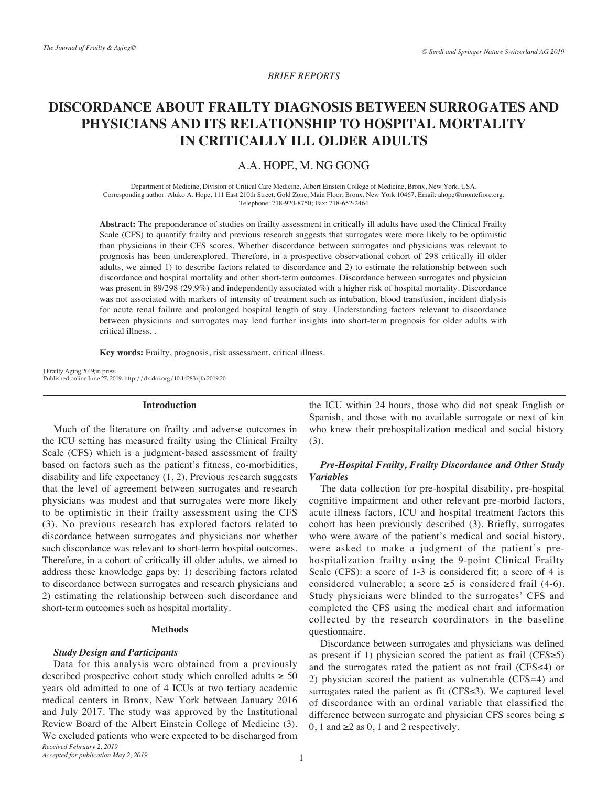# *BRIEF REPORTS*

# **DISCORDANCE ABOUT FRAILTY DIAGNOSIS BETWEEN SURROGATES AND PHYSICIANS AND ITS RELATIONSHIP TO HOSPITAL MORTALITY IN CRITICALLY ILL OLDER ADULTS**

# A.A. HOPE, M. NG GONG

Department of Medicine, Division of Critical Care Medicine, Albert Einstein College of Medicine, Bronx, New York, USA. Corresponding author: Aluko A. Hope, 111 East 210th Street, Gold Zone, Main Floor, Bronx, New York 10467, Email: ahope@montefiore.org, Telephone: 718-920-8750; Fax: 718-652-2464

**Abstract:** The preponderance of studies on frailty assessment in critically ill adults have used the Clinical Frailty Scale (CFS) to quantify frailty and previous research suggests that surrogates were more likely to be optimistic than physicians in their CFS scores. Whether discordance between surrogates and physicians was relevant to prognosis has been underexplored. Therefore, in a prospective observational cohort of 298 critically ill older adults, we aimed 1) to describe factors related to discordance and 2) to estimate the relationship between such discordance and hospital mortality and other short-term outcomes. Discordance between surrogates and physician was present in 89/298 (29.9%) and independently associated with a higher risk of hospital mortality. Discordance was not associated with markers of intensity of treatment such as intubation, blood transfusion, incident dialysis for acute renal failure and prolonged hospital length of stay. Understanding factors relevant to discordance between physicians and surrogates may lend further insights into short-term prognosis for older adults with critical illness. .

**Key words:** Frailty, prognosis, risk assessment, critical illness.

J Frailty Aging 2019;in press Published online June 27, 2019, http://dx.doi.org/10.14283/jfa.2019.20

#### **Introduction**

Much of the literature on frailty and adverse outcomes in the ICU setting has measured frailty using the Clinical Frailty Scale (CFS) which is a judgment-based assessment of frailty based on factors such as the patient's fitness, co-morbidities, disability and life expectancy (1, 2). Previous research suggests that the level of agreement between surrogates and research physicians was modest and that surrogates were more likely to be optimistic in their frailty assessment using the CFS (3). No previous research has explored factors related to discordance between surrogates and physicians nor whether such discordance was relevant to short-term hospital outcomes. Therefore, in a cohort of critically ill older adults, we aimed to address these knowledge gaps by: 1) describing factors related to discordance between surrogates and research physicians and 2) estimating the relationship between such discordance and short-term outcomes such as hospital mortality.

#### **Methods**

#### *Study Design and Participants*

*Received February 2, 2019* Data for this analysis were obtained from a previously described prospective cohort study which enrolled adults  $\geq 50$ years old admitted to one of 4 ICUs at two tertiary academic medical centers in Bronx, New York between January 2016 and July 2017. The study was approved by the Institutional Review Board of the Albert Einstein College of Medicine (3). We excluded patients who were expected to be discharged from

the ICU within 24 hours, those who did not speak English or Spanish, and those with no available surrogate or next of kin who knew their prehospitalization medical and social history (3).

# *Pre-Hospital Frailty, Frailty Discordance and Other Study Variables*

The data collection for pre-hospital disability, pre-hospital cognitive impairment and other relevant pre-morbid factors, acute illness factors, ICU and hospital treatment factors this cohort has been previously described (3). Briefly, surrogates who were aware of the patient's medical and social history, were asked to make a judgment of the patient's prehospitalization frailty using the 9-point Clinical Frailty Scale (CFS): a score of 1-3 is considered fit; a score of 4 is considered vulnerable; a score  $\ge 5$  is considered frail (4-6). Study physicians were blinded to the surrogates' CFS and completed the CFS using the medical chart and information collected by the research coordinators in the baseline questionnaire.

Discordance between surrogates and physicians was defined as present if 1) physician scored the patient as frail (CFS≥5) and the surrogates rated the patient as not frail (CFS≤4) or 2) physician scored the patient as vulnerable (CFS=4) and surrogates rated the patient as fit  $(CFS \le 3)$ . We captured level of discordance with an ordinal variable that classified the difference between surrogate and physician CFS scores being ≤ 0, 1 and  $\geq 2$  as 0, 1 and 2 respectively.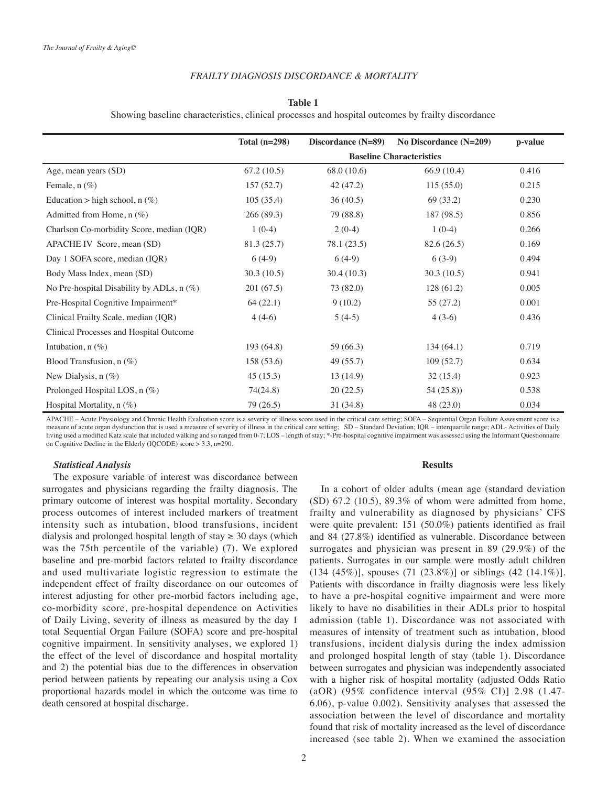## *FRAILTY DIAGNOSIS DISCORDANCE & MORTALITY*

### **Table 1**

Showing baseline characteristics, clinical processes and hospital outcomes by frailty discordance

|                                           | Total $(n=298)$ | Discordance (N=89)              | No Discordance (N=209) | p-value |  |  |  |
|-------------------------------------------|-----------------|---------------------------------|------------------------|---------|--|--|--|
|                                           |                 | <b>Baseline Characteristics</b> |                        |         |  |  |  |
| Age, mean years (SD)                      | 67.2(10.5)      | 68.0 (10.6)                     | 66.9(10.4)             | 0.416   |  |  |  |
| Female, $n$ $(\%)$                        | 157(52.7)       | 42 (47.2)                       | 115(55.0)              | 0.215   |  |  |  |
| Education > high school, $n$ (%)          | 105(35.4)       | 36(40.5)                        | 69 (33.2)              | 0.230   |  |  |  |
| Admitted from Home, $n$ (%)               | 266 (89.3)      | 79 (88.8)                       | 187(98.5)              | 0.856   |  |  |  |
| Charlson Co-morbidity Score, median (IQR) | $1(0-4)$        | $2(0-4)$                        | $1(0-4)$               | 0.266   |  |  |  |
| APACHE IV Score, mean (SD)                | 81.3 (25.7)     | 78.1 (23.5)                     | 82.6 (26.5)            | 0.169   |  |  |  |
| Day 1 SOFA score, median (IQR)            | $6(4-9)$        | $6(4-9)$                        | $6(3-9)$               | 0.494   |  |  |  |
| Body Mass Index, mean (SD)                | 30.3(10.5)      | 30.4(10.3)                      | 30.3(10.5)             | 0.941   |  |  |  |
| No Pre-hospital Disability by ADLs, n (%) | 201(67.5)       | 73 (82.0)                       | 128(61.2)              | 0.005   |  |  |  |
| Pre-Hospital Cognitive Impairment*        | 64(22.1)        | 9(10.2)                         | 55 (27.2)              | 0.001   |  |  |  |
| Clinical Frailty Scale, median (IQR)      | $4(4-6)$        | $5(4-5)$                        | $4(3-6)$               | 0.436   |  |  |  |
| Clinical Processes and Hospital Outcome   |                 |                                 |                        |         |  |  |  |
| Intubation, $n$ (%)                       | 193(64.8)       | 59 (66.3)                       | 134(64.1)              | 0.719   |  |  |  |
| Blood Transfusion, $n$ (%)                | 158(53.6)       | 49 (55.7)                       | 109(52.7)              | 0.634   |  |  |  |
| New Dialysis, $n$ $(\%)$                  | 45(15.3)        | 13(14.9)                        | 32(15.4)               | 0.923   |  |  |  |
| Prolonged Hospital LOS, $n$ (%)           | 74(24.8)        | 20(22.5)                        | 54(25.8)               | 0.538   |  |  |  |
| Hospital Mortality, $n$ (%)               | 79 (26.5)       | 31 (34.8)                       | 48 (23.0)              | 0.034   |  |  |  |

APACHE – Acute Physiology and Chronic Health Evaluation score is a severity of illness score used in the critical care setting; SOFA – Sequential Organ Failure Assessment score is a measure of acute organ dysfunction that is used a measure of severity of illness in the critical care setting; SD – Standard Deviation; IQR – interquartile range; ADL- Activities of Daily living used a modified Katz scale that included walking and so ranged from 0-7; LOS – length of stay; \*-Pre-hospital cognitive impairment was assessed using the Informant Questionnaire on Cognitive Decline in the Elderly (IQCODE) score > 3.3, n=290.

#### *Statistical Analysis*

The exposure variable of interest was discordance between surrogates and physicians regarding the frailty diagnosis. The primary outcome of interest was hospital mortality. Secondary process outcomes of interest included markers of treatment intensity such as intubation, blood transfusions, incident dialysis and prolonged hospital length of stay  $\geq$  30 days (which was the 75th percentile of the variable) (7). We explored baseline and pre-morbid factors related to frailty discordance and used multivariate logistic regression to estimate the independent effect of frailty discordance on our outcomes of interest adjusting for other pre-morbid factors including age, co-morbidity score, pre-hospital dependence on Activities of Daily Living, severity of illness as measured by the day 1 total Sequential Organ Failure (SOFA) score and pre-hospital cognitive impairment. In sensitivity analyses, we explored 1) the effect of the level of discordance and hospital mortality and 2) the potential bias due to the differences in observation period between patients by repeating our analysis using a Cox proportional hazards model in which the outcome was time to death censored at hospital discharge.

# **Results**

In a cohort of older adults (mean age (standard deviation (SD) 67.2 (10.5), 89.3% of whom were admitted from home, frailty and vulnerability as diagnosed by physicians' CFS were quite prevalent: 151 (50.0%) patients identified as frail and 84 (27.8%) identified as vulnerable. Discordance between surrogates and physician was present in 89 (29.9%) of the patients. Surrogates in our sample were mostly adult children (134 (45%)], spouses (71 (23.8%)] or siblings (42 (14.1%)]. Patients with discordance in frailty diagnosis were less likely to have a pre-hospital cognitive impairment and were more likely to have no disabilities in their ADLs prior to hospital admission (table 1). Discordance was not associated with measures of intensity of treatment such as intubation, blood transfusions, incident dialysis during the index admission and prolonged hospital length of stay (table 1). Discordance between surrogates and physician was independently associated with a higher risk of hospital mortality (adjusted Odds Ratio (aOR) (95% confidence interval (95% CI)] 2.98 (1.47- 6.06), p-value 0.002). Sensitivity analyses that assessed the association between the level of discordance and mortality found that risk of mortality increased as the level of discordance increased (see table 2). When we examined the association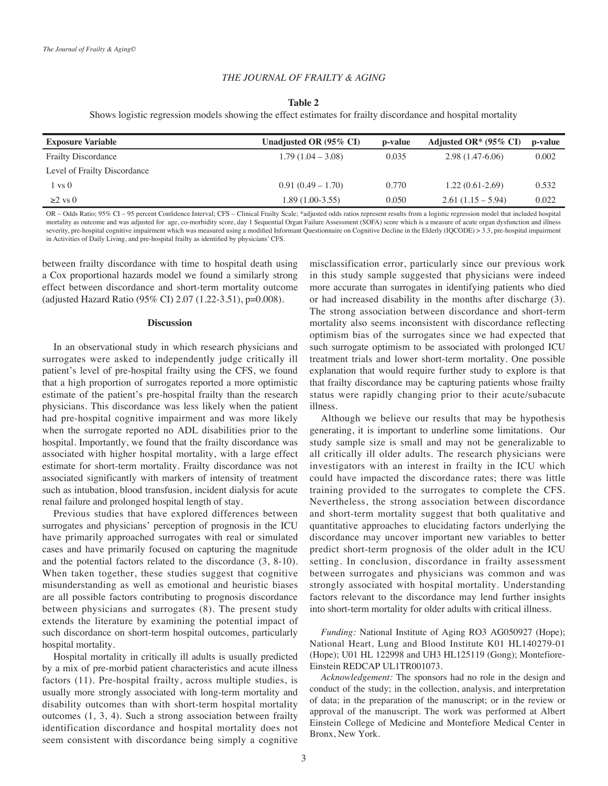### *THE JOURNAL OF FRAILTY & AGING*

### **Table 2**

Shows logistic regression models showing the effect estimates for frailty discordance and hospital mortality

| <b>Exposure Variable</b>     | Unadjusted OR $(95\% \text{ CI})$ | p-value | Adjusted OR* $(95\% \text{ CI})$ | p-value |
|------------------------------|-----------------------------------|---------|----------------------------------|---------|
| <b>Frailty Discordance</b>   | $1.79(1.04 - 3.08)$               | 0.035   | $2.98(1.47-6.06)$                | 0.002   |
| Level of Frailty Discordance |                                   |         |                                  |         |
| 1 vs 0                       | $0.91(0.49-1.70)$                 | 0.770   | $1.22(0.61-2.69)$                | 0.532   |
| $\geq$ vs 0                  | 1.89 (1.00-3.55)                  | 0.050   | $2.61(1.15-5.94)$                | 0.022   |
|                              |                                   |         |                                  |         |

OR – Odds Ratio; 95% CI – 95 percent Confidence Interval; CFS – Clinical Frailty Scale; \*adjusted odds ratios represent results from a logistic regression model that included hospital mortality as outcome and was adjusted for age, co-morbidity score, day 1 Sequential Organ Failure Assessment (SOFA) score which is a measure of acute organ dysfunction and illness severity, pre-hospital cognitive impairment which was measured using a modified Informant Questionnaire on Cognitive Decline in the Elderly (IQCODE) > 3.3, pre-hospital impairment in Activities of Daily Living, and pre-hospital frailty as identified by physicians' CFS.

between frailty discordance with time to hospital death using a Cox proportional hazards model we found a similarly strong effect between discordance and short-term mortality outcome (adjusted Hazard Ratio (95% CI) 2.07 (1.22-3.51), p=0.008).

#### **Discussion**

In an observational study in which research physicians and surrogates were asked to independently judge critically ill patient's level of pre-hospital frailty using the CFS, we found that a high proportion of surrogates reported a more optimistic estimate of the patient's pre-hospital frailty than the research physicians. This discordance was less likely when the patient had pre-hospital cognitive impairment and was more likely when the surrogate reported no ADL disabilities prior to the hospital. Importantly, we found that the frailty discordance was associated with higher hospital mortality, with a large effect estimate for short-term mortality. Frailty discordance was not associated significantly with markers of intensity of treatment such as intubation, blood transfusion, incident dialysis for acute renal failure and prolonged hospital length of stay.

Previous studies that have explored differences between surrogates and physicians' perception of prognosis in the ICU have primarily approached surrogates with real or simulated cases and have primarily focused on capturing the magnitude and the potential factors related to the discordance (3, 8-10). When taken together, these studies suggest that cognitive misunderstanding as well as emotional and heuristic biases are all possible factors contributing to prognosis discordance between physicians and surrogates (8). The present study extends the literature by examining the potential impact of such discordance on short-term hospital outcomes, particularly hospital mortality.

Hospital mortality in critically ill adults is usually predicted by a mix of pre-morbid patient characteristics and acute illness factors (11). Pre-hospital frailty, across multiple studies, is usually more strongly associated with long-term mortality and disability outcomes than with short-term hospital mortality outcomes (1, 3, 4). Such a strong association between frailty identification discordance and hospital mortality does not seem consistent with discordance being simply a cognitive misclassification error, particularly since our previous work in this study sample suggested that physicians were indeed more accurate than surrogates in identifying patients who died or had increased disability in the months after discharge (3). The strong association between discordance and short-term mortality also seems inconsistent with discordance reflecting optimism bias of the surrogates since we had expected that such surrogate optimism to be associated with prolonged ICU treatment trials and lower short-term mortality. One possible explanation that would require further study to explore is that that frailty discordance may be capturing patients whose frailty status were rapidly changing prior to their acute/subacute illness.

Although we believe our results that may be hypothesis generating, it is important to underline some limitations. Our study sample size is small and may not be generalizable to all critically ill older adults. The research physicians were investigators with an interest in frailty in the ICU which could have impacted the discordance rates; there was little training provided to the surrogates to complete the CFS. Nevertheless, the strong association between discordance and short-term mortality suggest that both qualitative and quantitative approaches to elucidating factors underlying the discordance may uncover important new variables to better predict short-term prognosis of the older adult in the ICU setting. In conclusion, discordance in frailty assessment between surrogates and physicians was common and was strongly associated with hospital mortality. Understanding factors relevant to the discordance may lend further insights into short-term mortality for older adults with critical illness.

*Funding:* National Institute of Aging RO3 AG050927 (Hope); National Heart, Lung and Blood Institute K01 HL140279-01 (Hope); U01 HL 122998 and UH3 HL125119 (Gong); Montefiore-Einstein REDCAP UL1TR001073.

*Acknowledgement:* The sponsors had no role in the design and conduct of the study; in the collection, analysis, and interpretation of data; in the preparation of the manuscript; or in the review or approval of the manuscript. The work was performed at Albert Einstein College of Medicine and Montefiore Medical Center in Bronx, New York.